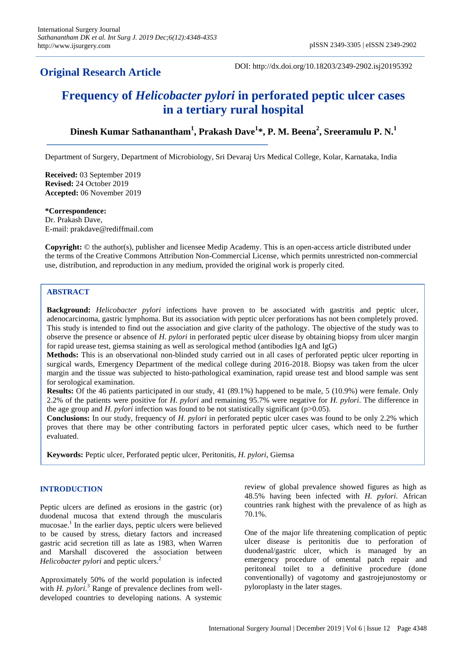## **Original Research Article**

DOI: http://dx.doi.org/10.18203/2349-2902.isj20195392

# **Frequency of** *Helicobacter pylori* **in perforated peptic ulcer cases in a tertiary rural hospital**

**Dinesh Kumar Sathanantham<sup>1</sup> , Prakash Dave<sup>1</sup> \*, P. M. Beena<sup>2</sup> , Sreeramulu P. N.<sup>1</sup>**

Department of Surgery, Department of Microbiology, Sri Devaraj Urs Medical College, Kolar, Karnataka, India

**Received:** 03 September 2019 **Revised:** 24 October 2019 **Accepted:** 06 November 2019

**\*Correspondence:**

Dr. Prakash Dave, E-mail: prakdave@rediffmail.com

**Copyright:** © the author(s), publisher and licensee Medip Academy. This is an open-access article distributed under the terms of the Creative Commons Attribution Non-Commercial License, which permits unrestricted non-commercial use, distribution, and reproduction in any medium, provided the original work is properly cited.

## **ABSTRACT**

**Background:** *Helicobacter pylori* infections have proven to be associated with gastritis and peptic ulcer, adenocarcinoma, gastric lymphoma. But its association with peptic ulcer perforations has not been completely proved. This study is intended to find out the association and give clarity of the pathology. The objective of the study was to observe the presence or absence of *H. pylori* in perforated peptic ulcer disease by obtaining biopsy from ulcer margin for rapid urease test, giemsa staining as well as serological method (antibodies IgA and IgG)

**Methods:** This is an observational non-blinded study carried out in all cases of perforated peptic ulcer reporting in surgical wards, Emergency Department of the medical college during 2016-2018. Biopsy was taken from the ulcer margin and the tissue was subjected to histo-pathological examination, rapid urease test and blood sample was sent for serological examination.

**Results:** Of the 46 patients participated in our study, 41 (89.1%) happened to be male, 5 (10.9%) were female. Only 2.2% of the patients were positive for *H. pylori* and remaining 95.7% were negative for *H. pylori*. The difference in the age group and *H. pylori* infection was found to be not statistically significant ( $p>0.05$ ).

**Conclusions:** In our study, frequency of *H. pylori* in perforated peptic ulcer cases was found to be only 2.2% which proves that there may be other contributing factors in perforated peptic ulcer cases, which need to be further evaluated.

**Keywords:** Peptic ulcer, Perforated peptic ulcer, Peritonitis, *H. pylori*, Giemsa

## **INTRODUCTION**

Peptic ulcers are defined as erosions in the gastric (or) duodenal mucosa that extend through the muscularis mucosae.<sup>1</sup> In the earlier days, peptic ulcers were believed to be caused by stress, dietary factors and increased gastric acid secretion till as late as 1983, when Warren and Marshall discovered the association between *Helicobacter pylori* and peptic ulcers.<sup>2</sup>

Approximately 50% of the world population is infected with *H. pylori*.<sup>3</sup> Range of prevalence declines from welldeveloped countries to developing nations. A systemic

review of global prevalence showed figures as high as 48.5% having been infected with *H. pylori*. African countries rank highest with the prevalence of as high as 70.1%.

One of the major life threatening complication of peptic ulcer disease is peritonitis due to perforation of duodenal/gastric ulcer, which is managed by an emergency procedure of omental patch repair and peritoneal toilet to a definitive procedure (done conventionally) of vagotomy and gastrojejunostomy or pyloroplasty in the later stages.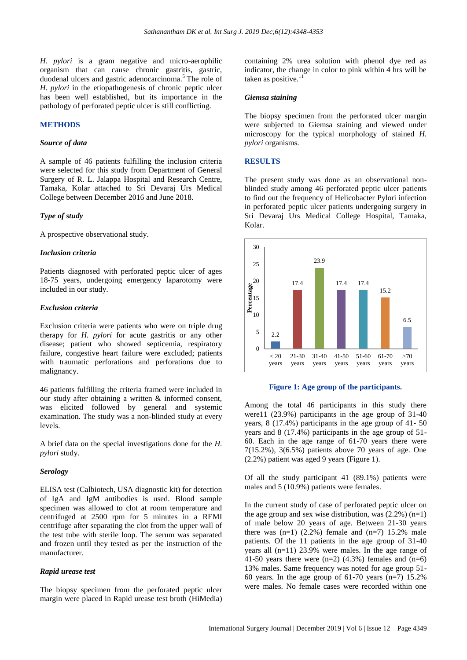*H. pylori* is a gram negative and micro-aerophilic organism that can cause chronic gastritis, gastric, duodenal ulcers and gastric adenocarcinoma.<sup>5</sup> The role of *H. pylori* in the etiopathogenesis of chronic peptic ulcer has been well established, but its importance in the pathology of perforated peptic ulcer is still conflicting.

## **METHODS**

#### *Source of data*

A sample of 46 patients fulfilling the inclusion criteria were selected for this study from Department of General Surgery of R. L. Jalappa Hospital and Research Centre, Tamaka, Kolar attached to Sri Devaraj Urs Medical College between December 2016 and June 2018.

#### *Type of study*

A prospective observational study.

#### *Inclusion criteria*

Patients diagnosed with perforated peptic ulcer of ages 18-75 years, undergoing emergency laparotomy were included in our study.

#### *Exclusion criteria*

Exclusion criteria were patients who were on triple drug therapy for *H. pylori* for acute gastritis or any other disease; patient who showed septicemia, respiratory failure, congestive heart failure were excluded; patients with traumatic perforations and perforations due to malignancy.

46 patients fulfilling the criteria framed were included in our study after obtaining a written & informed consent, was elicited followed by general and systemic examination. The study was a non-blinded study at every levels.

A brief data on the special investigations done for the *H. pylori* study.

#### *Serology*

ELISA test (Calbiotech, USA diagnostic kit) for detection of IgA and IgM antibodies is used. Blood sample specimen was allowed to clot at room temperature and centrifuged at 2500 rpm for 5 minutes in a REMI centrifuge after separating the clot from the upper wall of the test tube with sterile loop. The serum was separated and frozen until they tested as per the instruction of the manufacturer.

#### *Rapid urease test*

The biopsy specimen from the perforated peptic ulcer margin were placed in Rapid urease test broth (HiMedia)

containing 2% urea solution with phenol dye red as indicator, the change in color to pink within 4 hrs will be taken as positive.<sup>11</sup>

#### *Giemsa staining*

The biopsy specimen from the perforated ulcer margin were subjected to Giemsa staining and viewed under microscopy for the typical morphology of stained *H. pylori* organisms.

## **RESULTS**

The present study was done as an observational nonblinded study among 46 perforated peptic ulcer patients to find out the frequency of Helicobacter Pylori infection in perforated peptic ulcer patients undergoing surgery in Sri Devaraj Urs Medical College Hospital, Tamaka, Kolar.



#### **Figure 1: Age group of the participants.**

Among the total 46 participants in this study there were11 (23.9%) participants in the age group of 31-40 years, 8 (17.4%) participants in the age group of 41- 50 years and 8 (17.4%) participants in the age group of 51- 60. Each in the age range of 61-70 years there were 7(15.2%), 3(6.5%) patients above 70 years of age. One (2.2%) patient was aged 9 years (Figure 1).

Of all the study participant 41 (89.1%) patients were males and 5 (10.9%) patients were females.

In the current study of case of perforated peptic ulcer on the age group and sex wise distribution, was  $(2.2\%)$  (n=1) of male below 20 years of age. Between 21-30 years there was  $(n=1)$   $(2.2%)$  female and  $(n=7)$  15.2% male patients. Of the 11 patients in the age group of 31-40 years all (n=11) 23.9% were males. In the age range of 41-50 years there were  $(n=2)$  (4.3%) females and  $(n=6)$ 13% males. Same frequency was noted for age group 51- 60 years. In the age group of  $61-70$  years (n=7) 15.2% were males. No female cases were recorded within one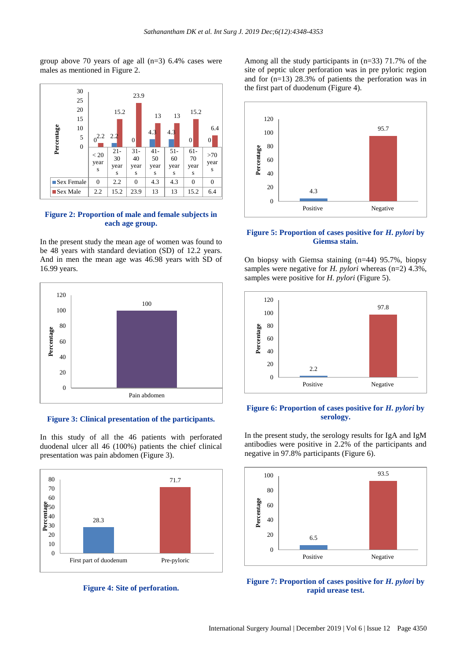group above 70 years of age all (n=3) 6.4% cases were males as mentioned in Figure 2.



## **Figure 2: Proportion of male and female subjects in each age group.**

In the present study the mean age of women was found to be 48 years with standard deviation (SD) of 12.2 years. And in men the mean age was 46.98 years with SD of 16.99 years.



**Figure 3: Clinical presentation of the participants.**

In this study of all the 46 patients with perforated duodenal ulcer all 46 (100%) patients the chief clinical presentation was pain abdomen (Figure 3).



**Figure 4: Site of perforation.**

Among all the study participants in (n=33) 71.7% of the site of peptic ulcer perforation was in pre pyloric region and for (n=13) 28.3% of patients the perforation was in the first part of duodenum (Figure 4).



## **Figure 5: Proportion of cases positive for** *H. pylori* **by Giemsa stain.**

On biopsy with Giemsa staining (n=44) 95.7%, biopsy samples were negative for *H. pylori* whereas (n=2) 4.3%, samples were positive for *H. pylori* (Figure 5).



## **Figure 6: Proportion of cases positive for** *H. pylori* **by serology.**

In the present study, the serology results for IgA and IgM antibodies were positive in 2.2% of the participants and negative in 97.8% participants (Figure 6).



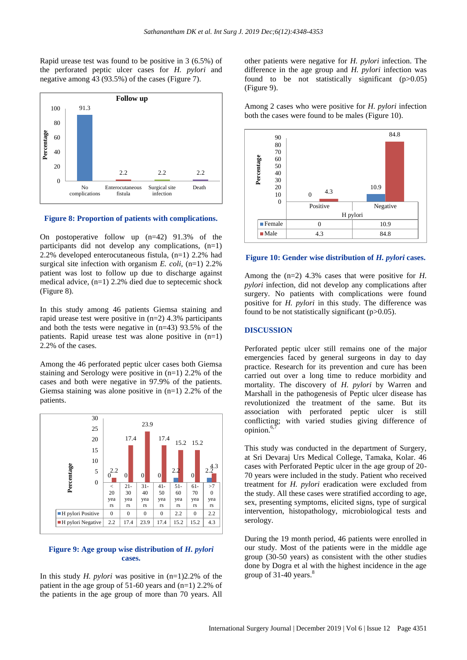Rapid urease test was found to be positive in 3 (6.5%) of the perforated peptic ulcer cases for *H. pylori* and negative among 43 (93.5%) of the cases (Figure 7).



**Figure 8: Proportion of patients with complications.**

On postoperative follow up (n=42) 91.3% of the participants did not develop any complications,  $(n=1)$ 2.2% developed enterocutaneous fistula, (n=1) 2.2% had surgical site infection with organism *E. coli*, (n=1) 2.2% patient was lost to follow up due to discharge against medical advice, (n=1) 2.2% died due to septecemic shock (Figure 8).

In this study among 46 patients Giemsa staining and rapid urease test were positive in (n=2) 4.3% participants and both the tests were negative in (n=43) 93.5% of the patients. Rapid urease test was alone positive in (n=1) 2.2% of the cases.

Among the 46 perforated peptic ulcer cases both Giemsa staining and Serology were positive in (n=1) 2.2% of the cases and both were negative in 97.9% of the patients. Giemsa staining was alone positive in  $(n=1)$  2.2% of the patients.



## **Figure 9: Age group wise distribution of** *H. pylori* **cases.**

In this study *H. pylori* was positive in (n=1)2.2% of the patient in the age group of 51-60 years and (n=1) 2.2% of the patients in the age group of more than 70 years. All

other patients were negative for *H. pylori* infection. The difference in the age group and *H. pylori* infection was found to be not statistically significant  $(p>0.05)$ (Figure 9).

Among 2 cases who were positive for *H. pylori* infection both the cases were found to be males (Figure 10).



**Figure 10: Gender wise distribution of** *H. pylori* **cases.**

Among the (n=2) 4.3% cases that were positive for *H. pylori* infection, did not develop any complications after surgery. No patients with complications were found positive for *H. pylori* in this study. The difference was found to be not statistically significant  $(p>0.05)$ .

## **DISCUSSION**

Perforated peptic ulcer still remains one of the major emergencies faced by general surgeons in day to day practice. Research for its prevention and cure has been carried out over a long time to reduce morbidity and mortality. The discovery of *H. pylori* by Warren and Marshall in the pathogenesis of Peptic ulcer disease has revolutionized the treatment of the same. But its association with perforated peptic ulcer is still conflicting; with varied studies giving difference of opinion. $6,7$ 

This study was conducted in the department of Surgery, at Sri Devaraj Urs Medical College, Tamaka, Kolar. 46 cases with Perforated Peptic ulcer in the age group of 20- 70 years were included in the study. Patient who received treatment for *H. pylori* eradication were excluded from the study. All these cases were stratified according to age, sex, presenting symptoms, elicited signs, type of surgical intervention, histopathology, microbiological tests and serology.

During the 19 month period, 46 patients were enrolled in our study. Most of the patients were in the middle age group (30-50 years) as consistent with the other studies done by Dogra et al with the highest incidence in the age group of  $31-40$  years.<sup>8</sup>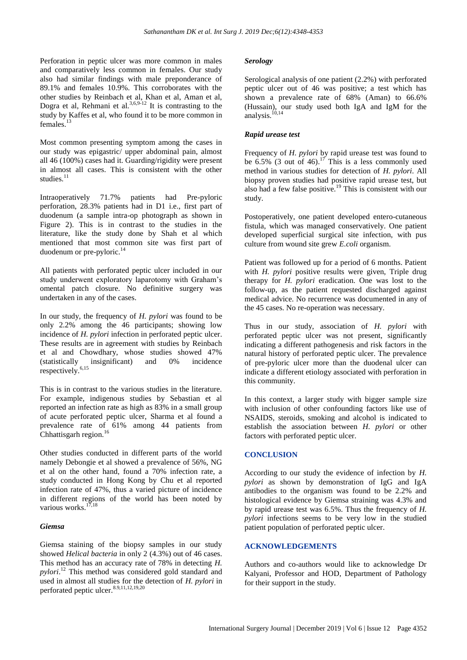Perforation in peptic ulcer was more common in males and comparatively less common in females. Our study also had similar findings with male preponderance of 89.1% and females 10.9%. This corroborates with the other studies by Reinbach et al, Khan et al, Aman et al, Dogra et al, Rehmani et al. $3,6,9-12$  It is contrasting to the study by Kaffes et al, who found it to be more common in females.<sup>13</sup>

Most common presenting symptom among the cases in our study was epigastric/ upper abdominal pain, almost all 46 (100%) cases had it. Guarding/rigidity were present in almost all cases. This is consistent with the other studies. $11$ 

Intraoperatively 71.7% patients had Pre-pyloric perforation, 28.3% patients had in D1 i.e., first part of duodenum (a sample intra-op photograph as shown in Figure 2). This is in contrast to the studies in the literature, like the study done by Shah et al which mentioned that most common site was first part of duodenum or pre-pyloric. $^{14}$ 

All patients with perforated peptic ulcer included in our study underwent exploratory laparotomy with Graham's omental patch closure. No definitive surgery was undertaken in any of the cases.

In our study, the frequency of *H. pylori* was found to be only 2.2% among the 46 participants; showing low incidence of *H. pylori* infection in perforated peptic ulcer. These results are in agreement with studies by Reinbach et al and Chowdhary, whose studies showed 47% (statistically insignificant) and 0% incidence respectively.<sup>6,15</sup>

This is in contrast to the various studies in the literature. For example, indigenous studies by Sebastian et al reported an infection rate as high as 83% in a small group of acute perforated peptic ulcer, Sharma et al found a prevalence rate of 61% among 44 patients from Chhattisgarh region.<sup>16</sup>

Other studies conducted in different parts of the world namely Debongie et al showed a prevalence of 56%, NG et al on the other hand, found a 70% infection rate, a study conducted in Hong Kong by Chu et al reported infection rate of 47%, thus a varied picture of incidence in different regions of the world has been noted by various works.<sup>17,18</sup>

## *Giemsa*

Giemsa staining of the biopsy samples in our study showed *Helical bacteria* in only 2 (4.3%) out of 46 cases. This method has an accuracy rate of 78% in detecting *H. pylori*. <sup>12</sup> This method was considered gold standard and used in almost all studies for the detection of *H. pylori* in perforated peptic ulcer. $8.9,11,12,19,20$ 

## *Serology*

Serological analysis of one patient (2.2%) with perforated peptic ulcer out of 46 was positive; a test which has shown a prevalence rate of 68% (Aman) to 66.6% (Hussain), our study used both IgA and IgM for the analysis.<sup>10,14</sup>

## *Rapid urease test*

Frequency of *H. pylori* by rapid urease test was found to be  $6.5\%$  (3 out of 46).<sup>17</sup> This is a less commonly used method in various studies for detection of *H. pylori*. All biopsy proven studies had positive rapid urease test, but also had a few false positive.<sup>19</sup> This is consistent with our study.

Postoperatively, one patient developed entero-cutaneous fistula, which was managed conservatively. One patient developed superficial surgical site infection, with pus culture from wound site grew *E.coli* organism.

Patient was followed up for a period of 6 months. Patient with *H. pylori* positive results were given, Triple drug therapy for *H. pylori* eradication. One was lost to the follow-up, as the patient requested discharged against medical advice. No recurrence was documented in any of the 45 cases. No re-operation was necessary.

Thus in our study, association of *H. pylori* with perforated peptic ulcer was not present, significantly indicating a different pathogenesis and risk factors in the natural history of perforated peptic ulcer. The prevalence of pre-pyloric ulcer more than the duodenal ulcer can indicate a different etiology associated with perforation in this community.

In this context, a larger study with bigger sample size with inclusion of other confounding factors like use of NSAIDS, steroids, smoking and alcohol is indicated to establish the association between *H. pylori* or other factors with perforated peptic ulcer.

#### **CONCLUSION**

According to our study the evidence of infection by *H. pylori* as shown by demonstration of IgG and IgA antibodies to the organism was found to be 2.2% and histological evidence by Giemsa straining was 4.3% and by rapid urease test was 6.5%. Thus the frequency of *H. pylori* infections seems to be very low in the studied patient population of perforated peptic ulcer.

## **ACKNOWLEDGEMENTS**

Authors and co-authors would like to acknowledge Dr Kalyani, Professor and HOD, Department of Pathology for their support in the study.